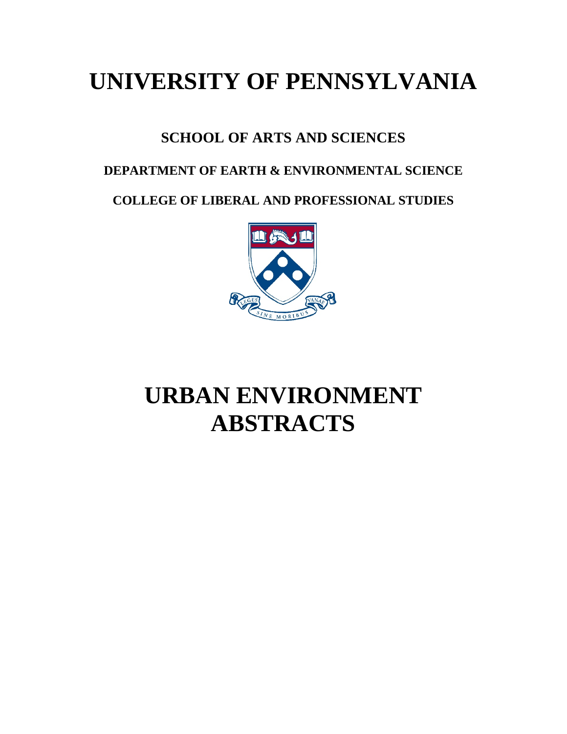## **UNIVERSITY OF PENNSYLVANIA**

### **SCHOOL OF ARTS AND SCIENCES**

### **DEPARTMENT OF EARTH & ENVIRONMENTAL SCIENCE**

**COLLEGE OF LIBERAL AND PROFESSIONAL STUDIES**



# **URBAN ENVIRONMENT ABSTRACTS**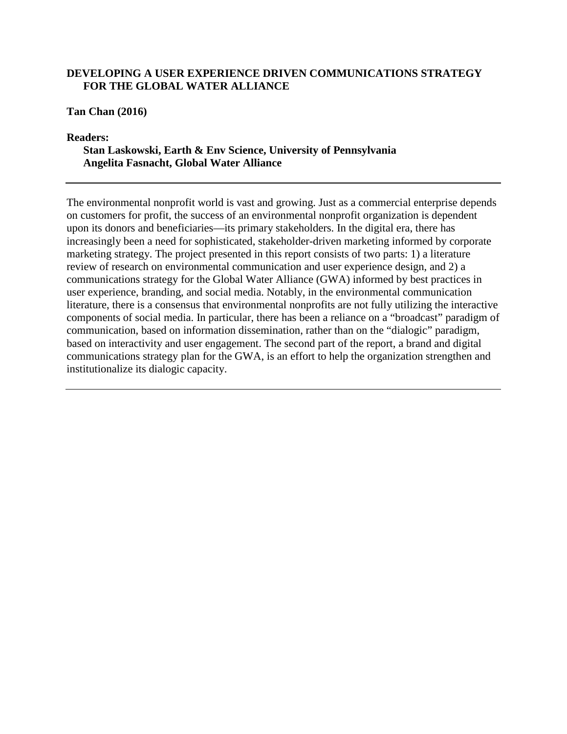#### **DEVELOPING A USER EXPERIENCE DRIVEN COMMUNICATIONS STRATEGY FOR THE GLOBAL WATER ALLIANCE**

**Tan Chan (2016)**

**Readers:** 

**Stan Laskowski, Earth & Env Science, University of Pennsylvania Angelita Fasnacht, Global Water Alliance**

The environmental nonprofit world is vast and growing. Just as a commercial enterprise depends on customers for profit, the success of an environmental nonprofit organization is dependent upon its donors and beneficiaries—its primary stakeholders. In the digital era, there has increasingly been a need for sophisticated, stakeholder-driven marketing informed by corporate marketing strategy. The project presented in this report consists of two parts: 1) a literature review of research on environmental communication and user experience design, and 2) a communications strategy for the Global Water Alliance (GWA) informed by best practices in user experience, branding, and social media. Notably, in the environmental communication literature, there is a consensus that environmental nonprofits are not fully utilizing the interactive components of social media. In particular, there has been a reliance on a "broadcast" paradigm of communication, based on information dissemination, rather than on the "dialogic" paradigm, based on interactivity and user engagement. The second part of the report, a brand and digital communications strategy plan for the GWA, is an effort to help the organization strengthen and institutionalize its dialogic capacity.